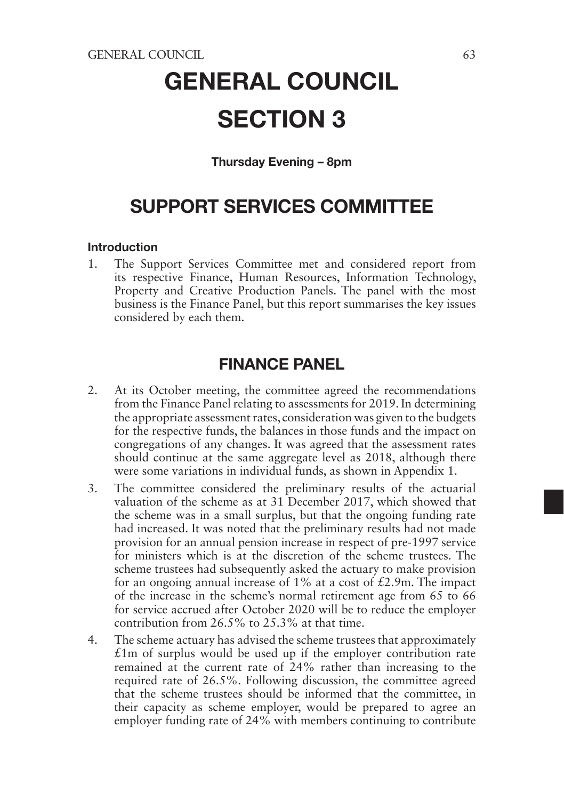# GENERAL COUNCIL SECTION 3

### Thursday Evening – 8pm

# SUPPORT SERVICES COMMITTEE

#### Introduction

1. The Support Services Committee met and considered report from its respective Finance, Human Resources, Information Technology, Property and Creative Production Panels. The panel with the most business is the Finance Panel, but this report summarises the key issues considered by each them.

# FINANCE PANEL

- 2. At its October meeting, the committee agreed the recommendations from the Finance Panel relating to assessments for 2019. In determining the appropriate assessment rates, consideration was given to the budgets for the respective funds, the balances in those funds and the impact on congregations of any changes. It was agreed that the assessment rates should continue at the same aggregate level as 2018, although there were some variations in individual funds, as shown in Appendix 1.
- 3. The committee considered the preliminary results of the actuarial valuation of the scheme as at 31 December 2017, which showed that the scheme was in a small surplus, but that the ongoing funding rate had increased. It was noted that the preliminary results had not made provision for an annual pension increase in respect of pre-1997 service for ministers which is at the discretion of the scheme trustees. The scheme trustees had subsequently asked the actuary to make provision for an ongoing annual increase of  $1\%$  at a cost of £2.9m. The impact of the increase in the scheme's normal retirement age from 65 to 66 for service accrued after October 2020 will be to reduce the employer contribution from 26.5% to 25.3% at that time.
- 4. The scheme actuary has advised the scheme trustees that approximately  $£1m$  of surplus would be used up if the employer contribution rate remained at the current rate of 24% rather than increasing to the required rate of 26.5%. Following discussion, the committee agreed that the scheme trustees should be informed that the committee, in their capacity as scheme employer, would be prepared to agree an employer funding rate of 24% with members continuing to contribute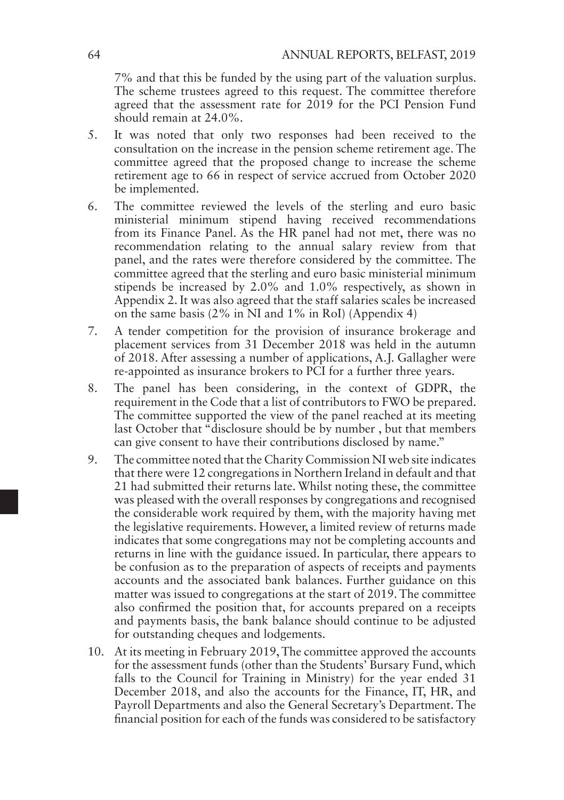7% and that this be funded by the using part of the valuation surplus. The scheme trustees agreed to this request. The committee therefore agreed that the assessment rate for 2019 for the PCI Pension Fund should remain at 24.0%.

- 5. It was noted that only two responses had been received to the consultation on the increase in the pension scheme retirement age. The committee agreed that the proposed change to increase the scheme retirement age to 66 in respect of service accrued from October 2020 be implemented.
- 6. The committee reviewed the levels of the sterling and euro basic ministerial minimum stipend having received recommendations from its Finance Panel. As the HR panel had not met, there was no recommendation relating to the annual salary review from that panel, and the rates were therefore considered by the committee. The committee agreed that the sterling and euro basic ministerial minimum stipends be increased by 2.0% and 1.0% respectively, as shown in Appendix 2. It was also agreed that the staff salaries scales be increased on the same basis  $(2\% \text{ in } \tilde{\text{NI}} \text{ and } 1\% \text{ in } \text{RoI})$  (Appendix 4)
- 7. A tender competition for the provision of insurance brokerage and placement services from 31 December 2018 was held in the autumn of 2018. After assessing a number of applications, A.J. Gallagher were re-appointed as insurance brokers to PCI for a further three years.
- 8. The panel has been considering, in the context of GDPR, the requirement in the Code that a list of contributors to FWO be prepared. The committee supported the view of the panel reached at its meeting last October that "disclosure should be by number, but that members" can give consent to have their contributions disclosed by name."
- 9. The committee noted that the Charity Commission NI web site indicates that there were 12 congregations in Northern Ireland in default and that 21 had submitted their returns late. Whilst noting these, the committee was pleased with the overall responses by congregations and recognised the considerable work required by them, with the majority having met the legislative requirements. However, a limited review of returns made indicates that some congregations may not be completing accounts and returns in line with the guidance issued. In particular, there appears to be confusion as to the preparation of aspects of receipts and payments accounts and the associated bank balances. Further guidance on this matter was issued to congregations at the start of 2019. The committee also confirmed the position that, for accounts prepared on a receipts and payments basis, the bank balance should continue to be adjusted for outstanding cheques and lodgements.
- 10. At its meeting in February 2019, The committee approved the accounts for the assessment funds (other than the Students' Bursary Fund, which falls to the Council for Training in Ministry) for the year ended 31 December 2018, and also the accounts for the Finance, IT, HR, and Payroll Departments and also the General Secretary's Department. The financial position for each of the funds was considered to be satisfactory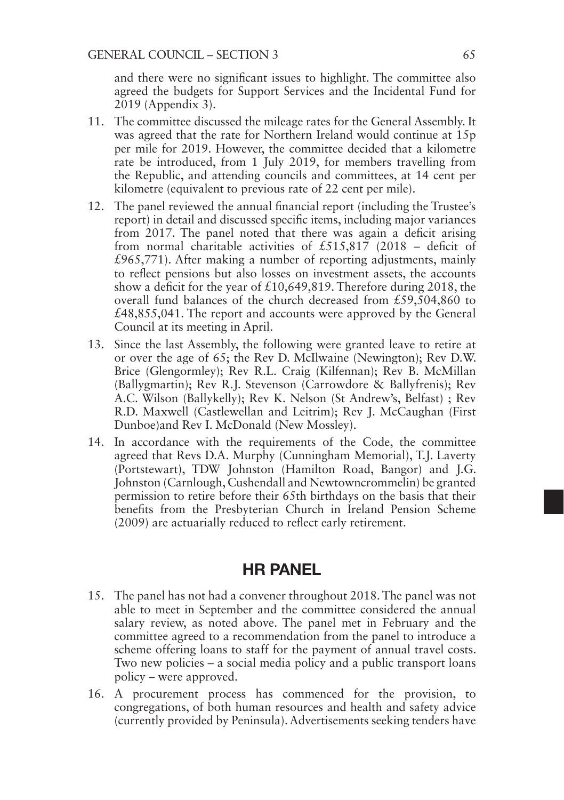and there were no significant issues to highlight. The committee also agreed the budgets for Support Services and the Incidental Fund for 2019 (Appendix 3).

- 11. The committee discussed the mileage rates for the General Assembly. It was agreed that the rate for Northern Ireland would continue at 15p per mile for 2019. However, the committee decided that a kilometre rate be introduced, from 1 July 2019, for members travelling from the Republic, and attending councils and committees, at 14 cent per kilometre (equivalent to previous rate of 22 cent per mile).
- 12. The panel reviewed the annual financial report (including the Trustee's report) in detail and discussed specific items, including major variances from 2017. The panel noted that there was again a deficit arising from normal charitable activities of £515,817 (2018 – deficit of  $£965,771$ ). After making a number of reporting adjustments, mainly to reflect pensions but also losses on investment assets, the accounts show a deficit for the year of £10,649,819. Therefore during 2018, the overall fund balances of the church decreased from £59,504,860 to £48,855,041. The report and accounts were approved by the General Council at its meeting in April.
- 13. Since the last Assembly, the following were granted leave to retire at or over the age of 65; the Rev D. McIlwaine (Newington); Rev D.W. Brice (Glengormley); Rev R.L. Craig (Kilfennan); Rev B. McMillan (Ballygmartin); Rev R.J. Stevenson (Carrowdore & Ballyfrenis); Rev A.C. Wilson (Ballykelly); Rev K. Nelson (St Andrew's, Belfast) ; Rev R.D. Maxwell (Castlewellan and Leitrim); Rev J. McCaughan (First Dunboe)and Rev I. McDonald (New Mossley).
- 14. In accordance with the requirements of the Code, the committee agreed that Revs D.A. Murphy (Cunningham Memorial), T.J. Laverty (Portstewart), TDW Johnston (Hamilton Road, Bangor) and J.G. Johnston (Carnlough, Cushendall and Newtowncrommelin) be granted permission to retire before their 65th birthdays on the basis that their benefits from the Presbyterian Church in Ireland Pension Scheme (2009) are actuarially reduced to reflect early retirement.

# HR PANEL

- 15. The panel has not had a convener throughout 2018. The panel was not able to meet in September and the committee considered the annual salary review, as noted above. The panel met in February and the committee agreed to a recommendation from the panel to introduce a scheme offering loans to staff for the payment of annual travel costs. Two new policies – a social media policy and a public transport loans policy – were approved.
- 16. A procurement process has commenced for the provision, to congregations, of both human resources and health and safety advice (currently provided by Peninsula). Advertisements seeking tenders have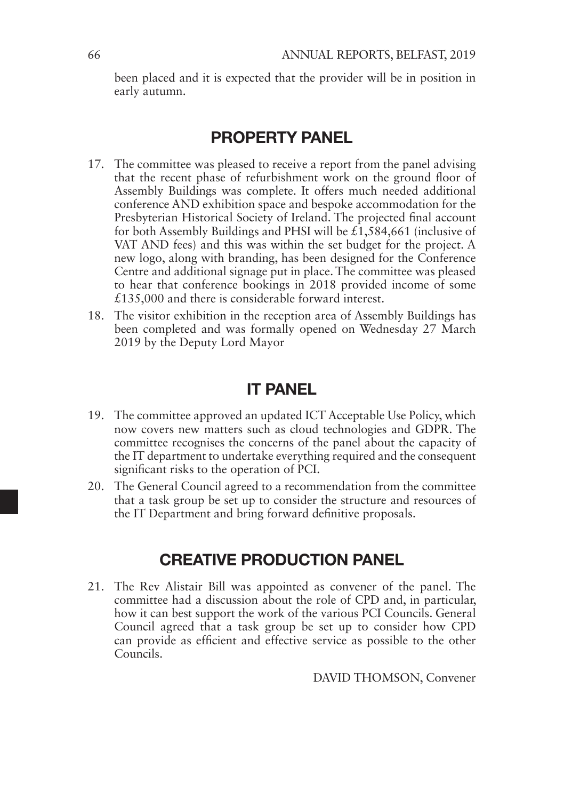been placed and it is expected that the provider will be in position in early autumn.

# PROPERTY PANEL

- 17. The committee was pleased to receive a report from the panel advising that the recent phase of refurbishment work on the ground floor of Assembly Buildings was complete. It offers much needed additional conference AND exhibition space and bespoke accommodation for the Presbyterian Historical Society of Ireland. The projected final account for both Assembly Buildings and PHSI will be  $\hat{\pounds}1,584,661$  (inclusive of VAT AND fees) and this was within the set budget for the project. A new logo, along with branding, has been designed for the Conference Centre and additional signage put in place. The committee was pleased to hear that conference bookings in 2018 provided income of some £135,000 and there is considerable forward interest.
- 18. The visitor exhibition in the reception area of Assembly Buildings has been completed and was formally opened on Wednesday 27 March 2019 by the Deputy Lord Mayor

# IT PANEL

- 19. The committee approved an updated ICT Acceptable Use Policy, which now covers new matters such as cloud technologies and GDPR. The committee recognises the concerns of the panel about the capacity of the IT department to undertake everything required and the consequent significant risks to the operation of PCI.
- 20. The General Council agreed to a recommendation from the committee that a task group be set up to consider the structure and resources of the IT Department and bring forward definitive proposals.

# CREATIVE PRODUCTION PANEL

21. The Rev Alistair Bill was appointed as convener of the panel. The committee had a discussion about the role of CPD and, in particular, how it can best support the work of the various PCI Councils. General Council agreed that a task group be set up to consider how CPD can provide as efficient and effective service as possible to the other Councils.

DAVID THOMSON, Convener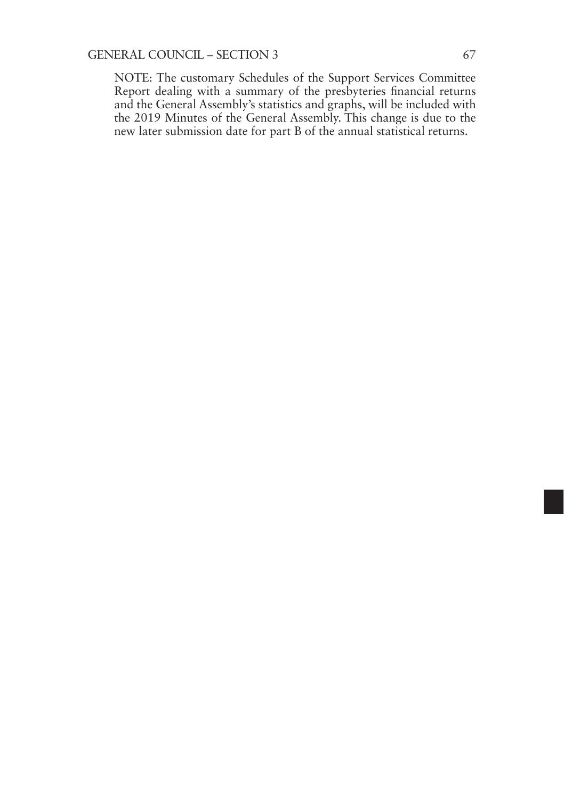NOTE: The customary Schedules of the Support Services Committee Report dealing with a summary of the presbyteries financial returns and the General Assembly's statistics and graphs, will be included with the 2019 Minutes of the General Assembly. This change is due to the new later submission date for part B of the annual statistical returns.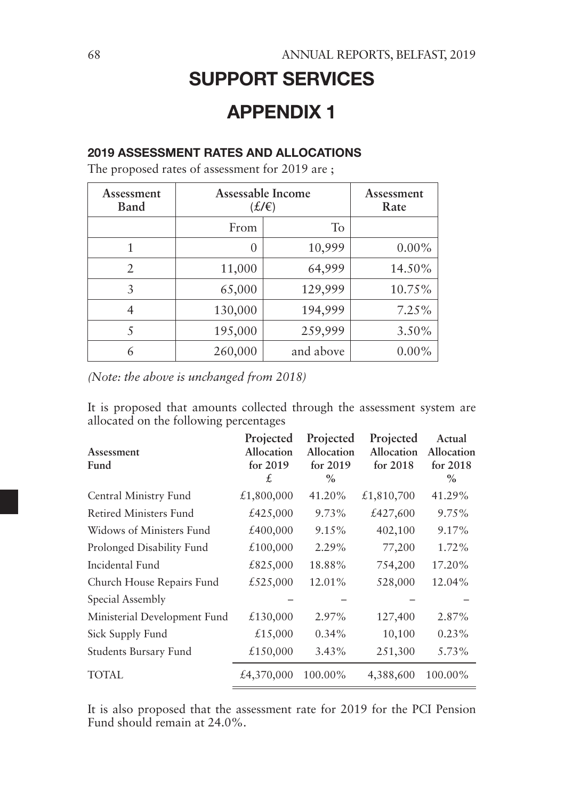# SUPPORT SERVICES

# APPENDIX 1

### 2019 ASSESSMENT RATES AND ALLOCATIONS

The proposed rates of assessment for 2019 are ;

| Assessment<br>Band | Assessable Income<br>$(f/\epsilon)$ |           | Assessment<br>Rate |
|--------------------|-------------------------------------|-----------|--------------------|
|                    | From                                | To        |                    |
|                    | 0                                   | 10,999    | $0.00\%$           |
| 2                  | 11,000                              | 64,999    | 14.50%             |
| 3                  | 65,000                              | 129,999   | 10.75%             |
| 4                  | 130,000                             | 194,999   | 7.25%              |
|                    | 195,000                             | 259,999   | 3.50%              |
| 6                  | 260,000                             | and above | $0.00\%$           |

*(Note: the above is unchanged from 2018)*

It is proposed that amounts collected through the assessment system are allocated on the following percentages

| Assessment<br>Fund            | Projected<br>Allocation<br>for $2019$<br>£. | Projected<br>Allocation<br>for $2019$<br>$\%$ | Projected<br>Allocation<br>for $2018$ | Actual<br>Allocation<br>for $2018$<br>$\%$ |
|-------------------------------|---------------------------------------------|-----------------------------------------------|---------------------------------------|--------------------------------------------|
| Central Ministry Fund         | £1,800,000                                  | 41.20%                                        | £1,810,700                            | 41.29%                                     |
| <b>Retired Ministers Fund</b> | £425,000                                    | 9.73%                                         | £427,600                              | 9.75%                                      |
| Widows of Ministers Fund      | £400,000                                    | 9.15%                                         | 402,100                               | 9.17%                                      |
| Prolonged Disability Fund     | £100,000                                    | 2.29%                                         | 77,200                                | 1.72%                                      |
| Incidental Fund               | £825,000                                    | 18.88%                                        | 754,200                               | 17.20%                                     |
| Church House Repairs Fund     | £525,000                                    | 12.01%                                        | 528,000                               | 12.04%                                     |
| Special Assembly              |                                             |                                               |                                       |                                            |
| Ministerial Development Fund  | £130,000                                    | 2.97%                                         | 127,400                               | 2.87%                                      |
| Sick Supply Fund              | £15,000                                     | $0.34\%$                                      | 10,100                                | 0.23%                                      |
| Students Bursary Fund         | £150,000                                    | 3.43%                                         | 251,300                               | 5.73%                                      |
| TOTAL                         | £4,370,000                                  | 100.00%                                       | 4,388,600                             | 100.00%                                    |

It is also proposed that the assessment rate for 2019 for the PCI Pension Fund should remain at 24.0%.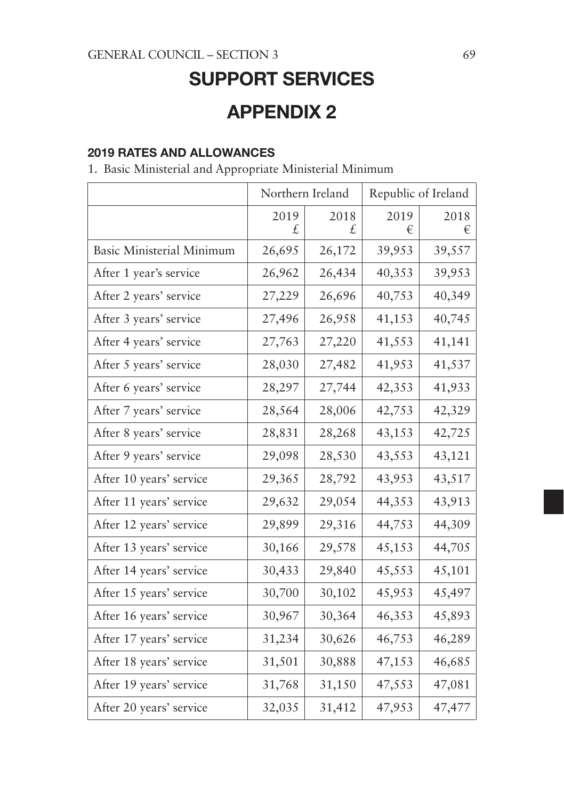# SUPPORT SERVICES

# APPENDIX 2

### 2019 RATES AND ALLOWANCES

1. Basic Ministerial and Appropriate Ministerial Minimum

|                                  | Northern Ireland |            | Republic of Ireland |           |
|----------------------------------|------------------|------------|---------------------|-----------|
|                                  | 2019<br>£.       | 2018<br>£. | 2019<br>€           | 2018<br>€ |
| <b>Basic Ministerial Minimum</b> | 26,695           | 26,172     | 39,953              | 39,557    |
| After 1 year's service           | 26,962           | 26,434     | 40,353              | 39,953    |
| After 2 years' service           | 27,229           | 26,696     | 40,753              | 40,349    |
| After 3 years' service           | 27,496           | 26,958     | 41,153              | 40,745    |
| After 4 years' service           | 27,763           | 27,220     | 41,553              | 41,141    |
| After 5 years' service           | 28,030           | 27,482     | 41,953              | 41,537    |
| After 6 years' service           | 28,297           | 27,744     | 42,353              | 41,933    |
| After 7 years' service           | 28,564           | 28,006     | 42,753              | 42,329    |
| After 8 years' service           | 28,831           | 28,268     | 43,153              | 42,725    |
| After 9 years' service           | 29,098           | 28,530     | 43,553              | 43,121    |
| After 10 years' service          | 29,365           | 28,792     | 43,953              | 43,517    |
| After 11 years' service          | 29,632           | 29,054     | 44,353              | 43,913    |
| After 12 years' service          | 29,899           | 29,316     | 44,753              | 44,309    |
| After 13 years' service          | 30,166           | 29,578     | 45,153              | 44,705    |
| After 14 years' service          | 30,433           | 29,840     | 45,553              | 45,101    |
| After 15 years' service          | 30,700           | 30,102     | 45,953              | 45,497    |
| After 16 years' service          | 30,967           | 30,364     | 46,353              | 45,893    |
| After 17 years' service          | 31,234           | 30,626     | 46,753              | 46,289    |
| After 18 years' service          | 31,501           | 30,888     | 47,153              | 46,685    |
| After 19 years' service          | 31,768           | 31,150     | 47,553              | 47,081    |
| After 20 years' service          | 32,035           | 31,412     | 47,953              | 47,477    |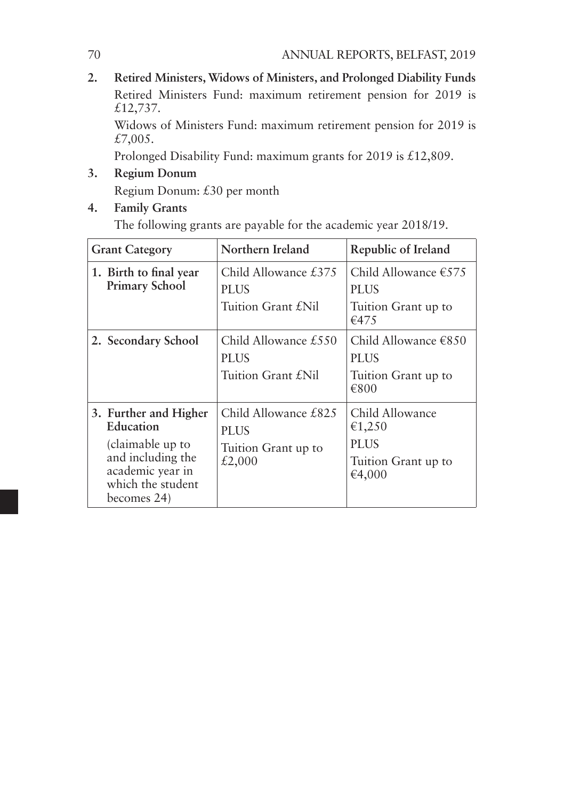**2. Retired Ministers, Widows of Ministers, and Prolonged Diability Funds** Retired Ministers Fund: maximum retirement pension for 2019 is £12,737.

Widows of Ministers Fund: maximum retirement pension for 2019 is £7,005.

Prolonged Disability Fund: maximum grants for 2019 is £12,809.

- **3. Regium Donum**  Regium Donum: £30 per month
- **4. Family Grants**

The following grants are payable for the academic year 2018/19.

| <b>Grant Category</b>                                                                                                               | Northern Ireland                                                     | Republic of Ireland                                                           |
|-------------------------------------------------------------------------------------------------------------------------------------|----------------------------------------------------------------------|-------------------------------------------------------------------------------|
| 1. Birth to final year<br><b>Primary School</b>                                                                                     | Child Allowance $£375$<br><b>PLUS</b><br>Tuition Grant £Nil          | Child Allowance $\epsilon$ 575<br><b>PLUS</b><br>Tuition Grant up to<br>€475  |
| 2. Secondary School                                                                                                                 | Child Allowance $£550$<br><b>PLUS</b><br>Tuition Grant f.Nil         | Child Allowance $\epsilon$ 8.50<br><b>PLUS</b><br>Tuition Grant up to<br>€800 |
| 3. Further and Higher<br>Education<br>(claimable up to<br>and including the<br>academic year in<br>which the student<br>becomes 24) | Child Allowance £825<br><b>PLUS</b><br>Tuition Grant up to<br>£2,000 | Child Allowance<br>€1,250<br><b>PLUS</b><br>Tuition Grant up to<br>€4,000     |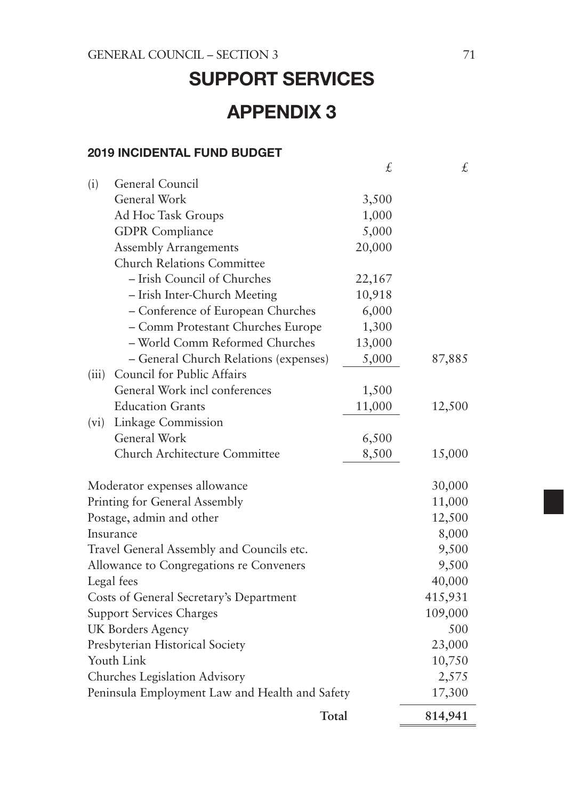# SUPPORT SERVICES APPENDIX 3

### 2019 INCIDENTAL FUND BUDGET

|                                                                                 |                                           | £      | £       |
|---------------------------------------------------------------------------------|-------------------------------------------|--------|---------|
| (i)                                                                             | General Council                           |        |         |
|                                                                                 | General Work                              | 3,500  |         |
|                                                                                 | Ad Hoc Task Groups                        | 1,000  |         |
|                                                                                 | <b>GDPR</b> Compliance                    | 5,000  |         |
|                                                                                 | <b>Assembly Arrangements</b>              | 20,000 |         |
|                                                                                 | <b>Church Relations Committee</b>         |        |         |
|                                                                                 | - Irish Council of Churches               | 22,167 |         |
|                                                                                 | - Irish Inter-Church Meeting              | 10,918 |         |
|                                                                                 | - Conference of European Churches         | 6,000  |         |
|                                                                                 | - Comm Protestant Churches Europe         | 1,300  |         |
|                                                                                 | - World Comm Reformed Churches            | 13,000 |         |
|                                                                                 | - General Church Relations (expenses)     | 5,000  | 87,885  |
| (iii)                                                                           | Council for Public Affairs                |        |         |
|                                                                                 | General Work incl conferences             | 1,500  |         |
|                                                                                 | <b>Education Grants</b>                   | 11,000 | 12,500  |
| (vi)                                                                            | Linkage Commission                        |        |         |
|                                                                                 | General Work                              | 6,500  |         |
|                                                                                 | Church Architecture Committee             | 8,500  | 15,000  |
|                                                                                 | Moderator expenses allowance              |        | 30,000  |
|                                                                                 | Printing for General Assembly             |        | 11,000  |
|                                                                                 | Postage, admin and other                  |        | 12,500  |
|                                                                                 | Insurance                                 |        | 8,000   |
|                                                                                 | Travel General Assembly and Councils etc. |        | 9,500   |
| Allowance to Congregations re Conveners                                         | 9,500                                     |        |         |
| Legal fees                                                                      | 40,000                                    |        |         |
|                                                                                 | Costs of General Secretary's Department   |        | 415,931 |
| <b>Support Services Charges</b>                                                 |                                           |        | 109,000 |
| UK Borders Agency                                                               |                                           |        | 500     |
|                                                                                 | Presbyterian Historical Society           |        | 23,000  |
| Youth Link                                                                      | 10,750                                    |        |         |
|                                                                                 | 2,575                                     |        |         |
| Churches Legislation Advisory<br>Peninsula Employment Law and Health and Safety |                                           |        | 17,300  |
|                                                                                 | Total                                     |        | 814,941 |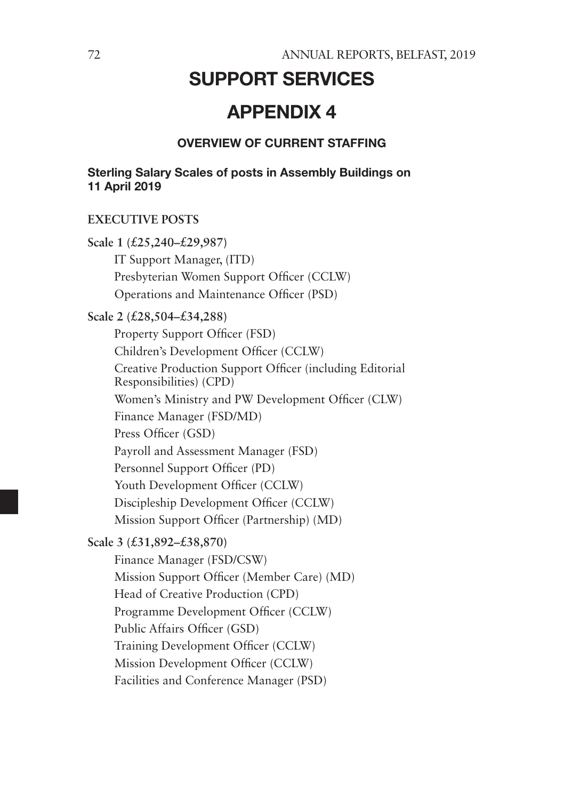# SUPPORT SERVICES

# APPENDIX 4

#### OVERVIEW OF CURRENT STAFFING

Sterling Salary Scales of posts in Assembly Buildings on 11 April 2019

#### **EXECUTIVE POSTS**

**Scale 1 (£25,240–£29,987)** IT Support Manager, (ITD) Presbyterian Women Support Officer (CCLW) Operations and Maintenance Officer (PSD) **Scale 2 (£28,504–£34,288)** Property Support Officer (FSD) Children's Development Officer (CCLW) Creative Production Support Officer (including Editorial Responsibilities) (CPD) Women's Ministry and PW Development Officer (CLW) Finance Manager (FSD/MD) Press Officer (GSD) Payroll and Assessment Manager (FSD) Personnel Support Officer (PD) Youth Development Officer (CCLW) Discipleship Development Officer (CCLW) Mission Support Officer (Partnership) (MD) **Scale 3 (£31,892–£38,870)** Finance Manager (FSD/CSW) Mission Support Officer (Member Care) (MD) Head of Creative Production (CPD) Programme Development Officer (CCLW) Public Affairs Officer (GSD) Training Development Officer (CCLW) Mission Development Officer (CCLW) Facilities and Conference Manager (PSD)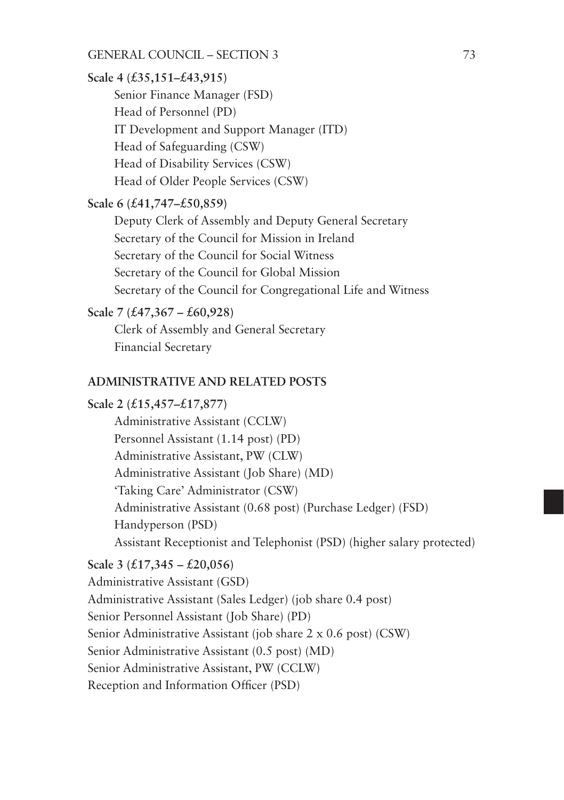**Scale 4 (£35,151–£43,915)**

Senior Finance Manager (FSD) Head of Personnel (PD) IT Development and Support Manager (ITD) Head of Safeguarding (CSW) Head of Disability Services (CSW) Head of Older People Services (CSW)

#### **Scale 6 (£41,747–£50,859)**

Deputy Clerk of Assembly and Deputy General Secretary Secretary of the Council for Mission in Ireland Secretary of the Council for Social Witness Secretary of the Council for Global Mission Secretary of the Council for Congregational Life and Witness

#### **Scale 7 (£47,367 – £60,928)**

Clerk of Assembly and General Secretary Financial Secretary

### **ADMINISTRATIVE AND RELATED POSTS**

#### **Scale 2 (£15,457–£17,877)**

Administrative Assistant (CCLW) Personnel Assistant (1.14 post) (PD) Administrative Assistant, PW (CLW) Administrative Assistant (Job Share) (MD) 'Taking Care' Administrator (CSW) Administrative Assistant (0.68 post) (Purchase Ledger) (FSD) Handyperson (PSD) Assistant Receptionist and Telephonist (PSD) (higher salary protected)

#### **Scale 3 (£17,345 – £20,056)**

Administrative Assistant (GSD) Administrative Assistant (Sales Ledger) (job share 0.4 post) Senior Personnel Assistant (Job Share) (PD) Senior Administrative Assistant (job share 2 x 0.6 post) (CSW) Senior Administrative Assistant (0.5 post) (MD) Senior Administrative Assistant, PW (CCLW) Reception and Information Officer (PSD)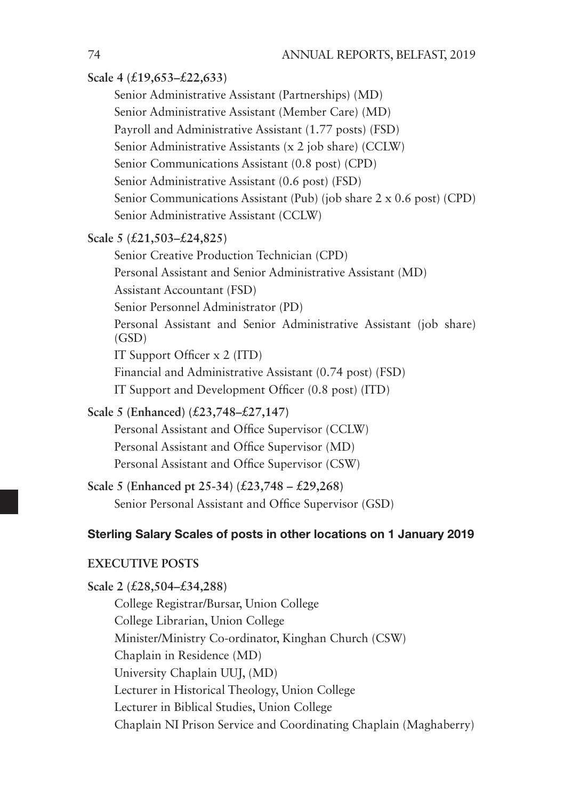### **Scale 4 (£19,653–£22,633)**

Senior Administrative Assistant (Partnerships) (MD) Senior Administrative Assistant (Member Care) (MD) Payroll and Administrative Assistant (1.77 posts) (FSD) Senior Administrative Assistants (x 2 job share) (CCLW) Senior Communications Assistant (0.8 post) (CPD) Senior Administrative Assistant (0.6 post) (FSD) Senior Communications Assistant (Pub) (job share 2 x 0.6 post) (CPD) Senior Administrative Assistant (CCLW)

### **Scale 5 (£21,503–£24,825)**

Senior Creative Production Technician (CPD) Personal Assistant and Senior Administrative Assistant (MD) Assistant Accountant (FSD) Senior Personnel Administrator (PD) Personal Assistant and Senior Administrative Assistant (job share) (GSD) IT Support Officer x 2 (ITD) Financial and Administrative Assistant (0.74 post) (FSD) IT Support and Development Officer (0.8 post) (ITD)

### **Scale 5 (Enhanced) (£23,748–£27,147)**

Personal Assistant and Office Supervisor (CCLW) Personal Assistant and Office Supervisor (MD) Personal Assistant and Office Supervisor (CSW)

**Scale 5 (Enhanced pt 25-34) (£23,748 – £29,268)** Senior Personal Assistant and Office Supervisor (GSD)

### Sterling Salary Scales of posts in other locations on 1 January 2019

### **EXECUTIVE POSTS**

**Scale 2 (£28,504–£34,288)** College Registrar/Bursar, Union College College Librarian, Union College Minister/Ministry Co-ordinator, Kinghan Church (CSW) Chaplain in Residence (MD) University Chaplain UUJ, (MD) Lecturer in Historical Theology, Union College Lecturer in Biblical Studies, Union College Chaplain NI Prison Service and Coordinating Chaplain (Maghaberry)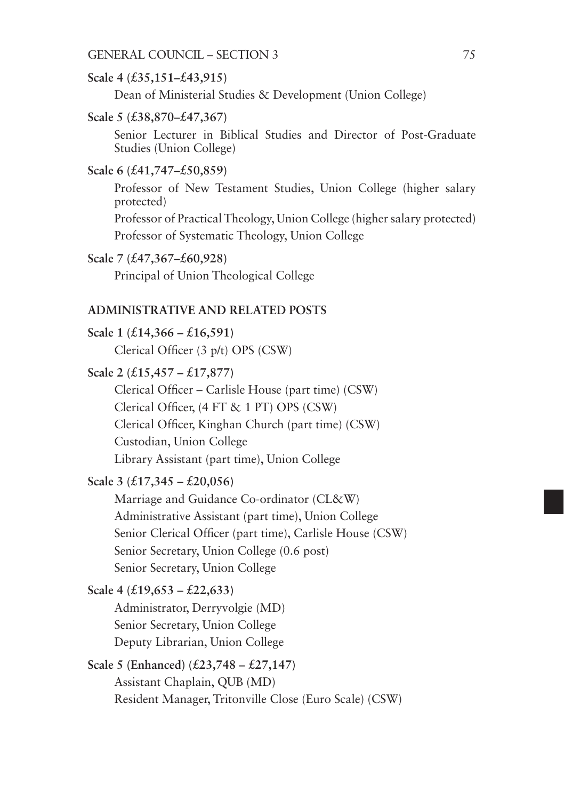#### **Scale 4 (£35,151–£43,915)**

Dean of Ministerial Studies & Development (Union College)

#### **Scale 5 (£38,870–£47,367)**

Senior Lecturer in Biblical Studies and Director of Post-Graduate Studies (Union College)

#### **Scale 6 (£41,747–£50,859)**

Professor of New Testament Studies, Union College (higher salary protected)

Professor of Practical Theology, Union College (higher salary protected) Professor of Systematic Theology, Union College

#### **Scale 7 (£47,367–£60,928)**

Principal of Union Theological College

#### **ADMINISTRATIVE AND RELATED POSTS**

**Scale 1 (£14,366 – £16,591)** Clerical Officer (3 p/t) OPS (CSW)

#### **Scale 2 (£15,457 – £17,877)**

Clerical Officer – Carlisle House (part time) (CSW) Clerical Officer, (4 FT & 1 PT) OPS (CSW) Clerical Officer, Kinghan Church (part time) (CSW) Custodian, Union College Library Assistant (part time), Union College

#### **Scale 3 (£17,345 – £20,056)**

Marriage and Guidance Co-ordinator (CL&W) Administrative Assistant (part time), Union College Senior Clerical Officer (part time), Carlisle House (CSW) Senior Secretary, Union College (0.6 post) Senior Secretary, Union College

### **Scale 4 (£19,653 – £22,633)**

Administrator, Derryvolgie (MD) Senior Secretary, Union College Deputy Librarian, Union College

# **Scale 5 (Enhanced) (£23,748 – £27,147)**

Assistant Chaplain, QUB (MD) Resident Manager, Tritonville Close (Euro Scale) (CSW)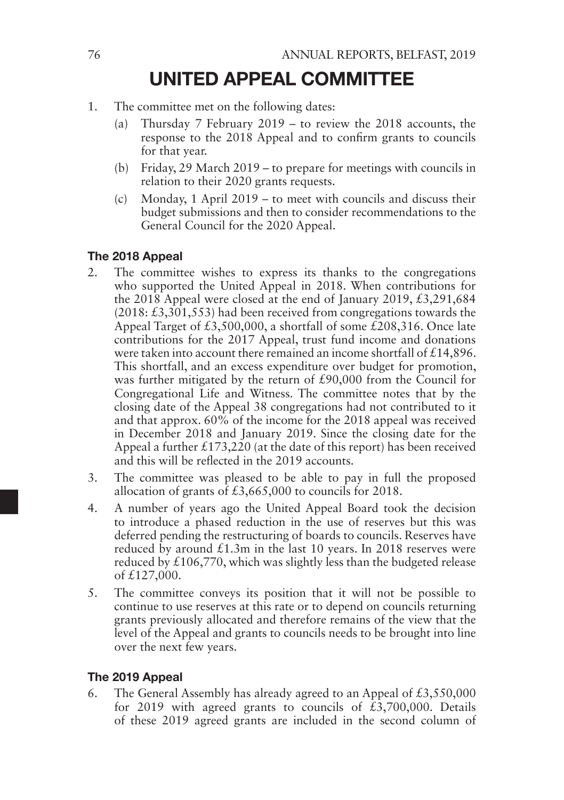# UNITED APPEAL COMMITTEE

- 1. The committee met on the following dates:
	- (a) Thursday 7 February 2019 to review the 2018 accounts, the response to the 2018 Appeal and to confirm grants to councils for that year.
	- (b) Friday, 29 March 2019 to prepare for meetings with councils in relation to their 2020 grants requests.
	- (c) Monday, 1 April 2019 to meet with councils and discuss their budget submissions and then to consider recommendations to the General Council for the 2020 Appeal.

### The 2018 Appeal

- 2. The committee wishes to express its thanks to the congregations who supported the United Appeal in 2018. When contributions for the 2018 Appeal were closed at the end of January 2019,  $£3,291,684$ (2018: £3,301,553) had been received from congregations towards the Appeal Target of £3,500,000, a shortfall of some £208,316. Once late contributions for the 2017 Appeal, trust fund income and donations were taken into account there remained an income shortfall of £14,896. This shortfall, and an excess expenditure over budget for promotion, was further mitigated by the return of £90,000 from the Council for Congregational Life and Witness. The committee notes that by the closing date of the Appeal 38 congregations had not contributed to it and that approx. 60% of the income for the 2018 appeal was received in December 2018 and January 2019. Since the closing date for the Appeal a further  $£173,220$  (at the date of this report) has been received and this will be reflected in the 2019 accounts.
- 3. The committee was pleased to be able to pay in full the proposed allocation of grants of £3,665,000 to councils for 2018.
- 4. A number of years ago the United Appeal Board took the decision to introduce a phased reduction in the use of reserves but this was deferred pending the restructuring of boards to councils. Reserves have reduced by around  $£1.3m$  in the last 10 years. In 2018 reserves were reduced by  $£106,770$ , which was slightly less than the budgeted release of £127,000.
- 5. The committee conveys its position that it will not be possible to continue to use reserves at this rate or to depend on councils returning grants previously allocated and therefore remains of the view that the level of the Appeal and grants to councils needs to be brought into line over the next few years.

### The 2019 Appeal

6. The General Assembly has already agreed to an Appeal of  $£3,550,000$ for 2019 with agreed grants to councils of  $\bar{t}$ 3,700,000. Details of these 2019 agreed grants are included in the second column of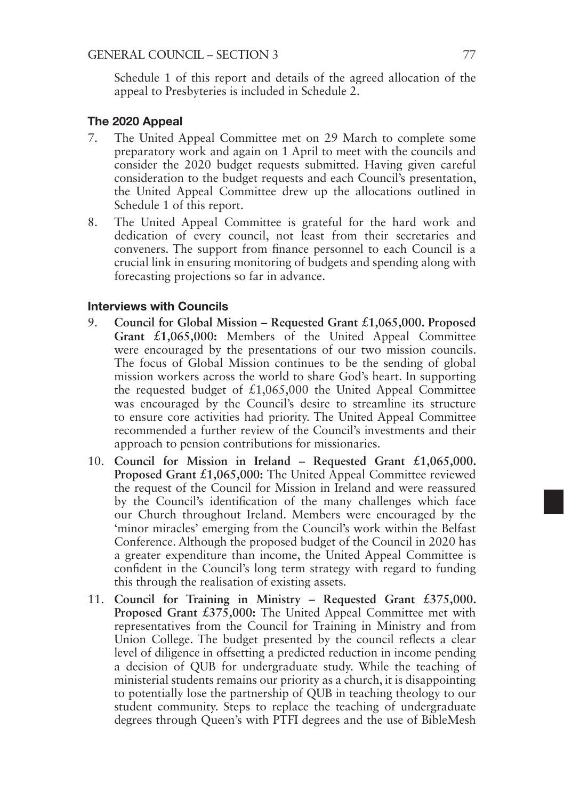Schedule 1 of this report and details of the agreed allocation of the appeal to Presbyteries is included in Schedule 2.

#### The 2020 Appeal

- 7. The United Appeal Committee met on 29 March to complete some preparatory work and again on 1 April to meet with the councils and consider the 2020 budget requests submitted. Having given careful consideration to the budget requests and each Council's presentation, the United Appeal Committee drew up the allocations outlined in Schedule 1 of this report.
- 8. The United Appeal Committee is grateful for the hard work and dedication of every council, not least from their secretaries and conveners. The support from finance personnel to each Council is a crucial link in ensuring monitoring of budgets and spending along with forecasting projections so far in advance.

#### Interviews with Councils

- 9. **Council for Global Mission Requested Grant £1,065,000. Proposed Grant £1,065,000:** Members of the United Appeal Committee were encouraged by the presentations of our two mission councils. The focus of Global Mission continues to be the sending of global mission workers across the world to share God's heart. In supporting the requested budget of  $£1,065,000$  the United Appeal Committee was encouraged by the Council's desire to streamline its structure to ensure core activities had priority. The United Appeal Committee recommended a further review of the Council's investments and their approach to pension contributions for missionaries.
- 10. **Council for Mission in Ireland Requested Grant £1,065,000. Proposed Grant £1,065,000:** The United Appeal Committee reviewed the request of the Council for Mission in Ireland and were reassured by the Council's identification of the many challenges which face our Church throughout Ireland. Members were encouraged by the 'minor miracles' emerging from the Council's work within the Belfast Conference. Although the proposed budget of the Council in 2020 has a greater expenditure than income, the United Appeal Committee is confident in the Council's long term strategy with regard to funding this through the realisation of existing assets.
- 11. **Council for Training in Ministry Requested Grant £375,000. Proposed Grant £375,000:** The United Appeal Committee met with representatives from the Council for Training in Ministry and from Union College. The budget presented by the council reflects a clear level of diligence in offsetting a predicted reduction in income pending a decision of QUB for undergraduate study. While the teaching of ministerial students remains our priority as a church, it is disappointing to potentially lose the partnership of QUB in teaching theology to our student community. Steps to replace the teaching of undergraduate degrees through Queen's with PTFI degrees and the use of BibleMesh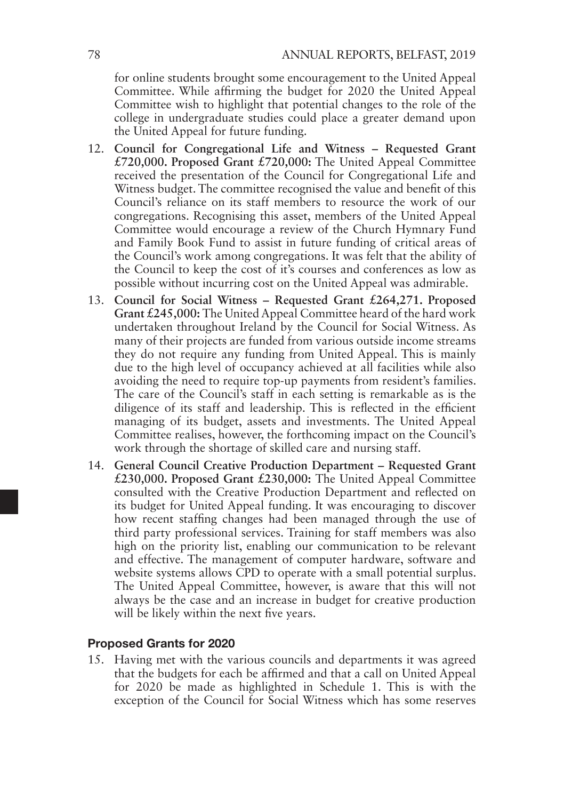for online students brought some encouragement to the United Appeal Committee. While affirming the budget for 2020 the United Appeal Committee wish to highlight that potential changes to the role of the college in undergraduate studies could place a greater demand upon the United Appeal for future funding.

- 12. **Council for Congregational Life and Witness Requested Grant £720,000. Proposed Grant £720,000:** The United Appeal Committee received the presentation of the Council for Congregational Life and Witness budget. The committee recognised the value and benefit of this Council's reliance on its staff members to resource the work of our congregations. Recognising this asset, members of the United Appeal Committee would encourage a review of the Church Hymnary Fund and Family Book Fund to assist in future funding of critical areas of the Council's work among congregations. It was felt that the ability of the Council to keep the cost of it's courses and conferences as low as possible without incurring cost on the United Appeal was admirable.
- 13. **Council for Social Witness Requested Grant £264,271. Proposed Grant £245,000:** The United Appeal Committee heard of the hard work undertaken throughout Ireland by the Council for Social Witness. As many of their projects are funded from various outside income streams they do not require any funding from United Appeal. This is mainly due to the high level of occupancy achieved at all facilities while also avoiding the need to require top-up payments from resident's families. The care of the Council's staff in each setting is remarkable as is the diligence of its staff and leadership. This is reflected in the efficient managing of its budget, assets and investments. The United Appeal Committee realises, however, the forthcoming impact on the Council's work through the shortage of skilled care and nursing staff.
- 14. **General Council Creative Production Department Requested Grant £230,000. Proposed Grant £230,000:** The United Appeal Committee consulted with the Creative Production Department and reflected on its budget for United Appeal funding. It was encouraging to discover how recent staffing changes had been managed through the use of third party professional services. Training for staff members was also high on the priority list, enabling our communication to be relevant and effective. The management of computer hardware, software and website systems allows CPD to operate with a small potential surplus. The United Appeal Committee, however, is aware that this will not always be the case and an increase in budget for creative production will be likely within the next five years.

#### Proposed Grants for 2020

15. Having met with the various councils and departments it was agreed that the budgets for each be affirmed and that a call on United Appeal for 2020 be made as highlighted in Schedule 1. This is with the exception of the Council for Social Witness which has some reserves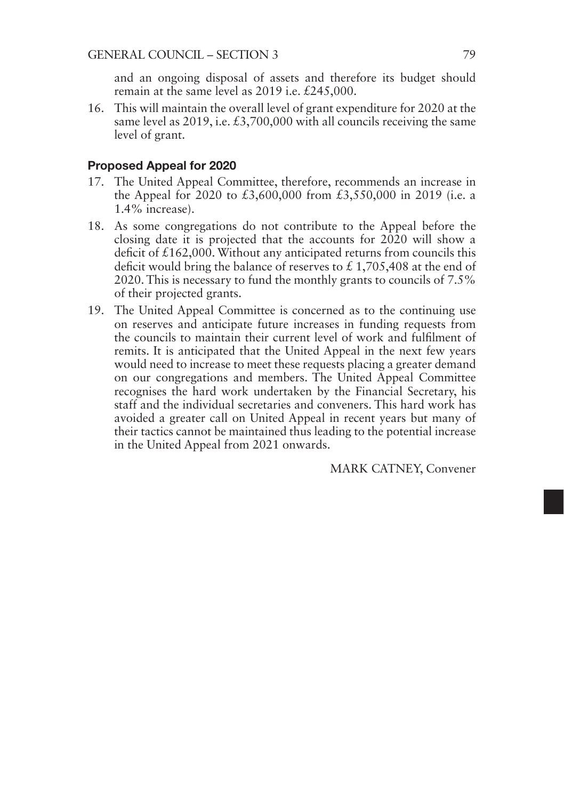and an ongoing disposal of assets and therefore its budget should remain at the same level as 2019 i.e. £245,000.

16. This will maintain the overall level of grant expenditure for 2020 at the same level as 2019, i.e. £3,700,000 with all councils receiving the same level of grant.

#### Proposed Appeal for 2020

- 17. The United Appeal Committee, therefore, recommends an increase in the Appeal for 2020 to £3,600,000 from £3,550,000 in 2019 (i.e. a 1.4% increase).
- 18. As some congregations do not contribute to the Appeal before the closing date it is projected that the accounts for 2020 will show a deficit of £162,000. Without any anticipated returns from councils this deficit would bring the balance of reserves to  $\text{\pounds}$  1,705,408 at the end of 2020. This is necessary to fund the monthly grants to councils of 7.5% of their projected grants.
- 19. The United Appeal Committee is concerned as to the continuing use on reserves and anticipate future increases in funding requests from the councils to maintain their current level of work and fulfilment of remits. It is anticipated that the United Appeal in the next few years would need to increase to meet these requests placing a greater demand on our congregations and members. The United Appeal Committee recognises the hard work undertaken by the Financial Secretary, his staff and the individual secretaries and conveners. This hard work has avoided a greater call on United Appeal in recent years but many of their tactics cannot be maintained thus leading to the potential increase in the United Appeal from 2021 onwards.

MARK CATNEY, Convener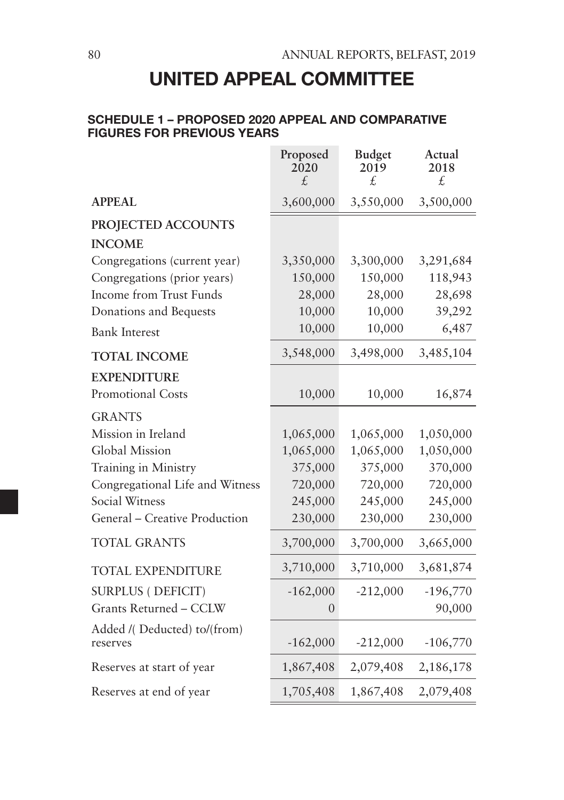# UNITED APPEAL COMMITTEE

### SCHEDULE 1 – PROPOSED 2020 APPEAL AND COMPARATIVE FIGURES FOR PREVIOUS YEARS

|                                         | Proposed<br>2020<br>£. | <b>Budget</b><br>2019<br>£. | Actual<br>2018<br>£. |
|-----------------------------------------|------------------------|-----------------------------|----------------------|
| <b>APPEAL</b>                           | 3,600,000              | 3,550,000                   | 3,500,000            |
| PROJECTED ACCOUNTS                      |                        |                             |                      |
| <b>INCOME</b>                           |                        |                             |                      |
| Congregations (current year)            | 3,350,000              | 3,300,000                   | 3,291,684            |
| Congregations (prior years)             | 150,000                | 150,000                     | 118,943              |
| <b>Income from Trust Funds</b>          | 28,000                 | 28,000                      | 28,698               |
| Donations and Bequests                  | 10,000                 | 10,000                      | 39,292               |
| <b>Bank Interest</b>                    | 10,000                 | 10,000                      | 6,487                |
| <b>TOTAL INCOME</b>                     | 3,548,000              | 3,498,000                   | 3,485,104            |
| <b>EXPENDITURE</b>                      |                        |                             |                      |
| Promotional Costs                       | 10,000                 | 10,000                      | 16,874               |
| <b>GRANTS</b>                           |                        |                             |                      |
| Mission in Ireland                      | 1,065,000              | 1,065,000                   | 1,050,000            |
| Global Mission                          | 1,065,000              | 1,065,000                   | 1,050,000            |
| Training in Ministry                    | 375,000                | 375,000                     | 370,000              |
| Congregational Life and Witness         | 720,000                | 720,000                     | 720,000              |
| Social Witness                          | 245,000                | 245,000                     | 245,000              |
| General - Creative Production           | 230,000                | 230,000                     | 230,000              |
| <b>TOTAL GRANTS</b>                     | 3,700,000              | 3,700,000                   | 3,665,000            |
| <b>TOTAL EXPENDITURE</b>                | 3,710,000              | 3,710,000                   | 3,681,874            |
| <b>SURPLUS (DEFICIT)</b>                | $-162,000$             | $-212,000$                  | $-196,770$           |
| Grants Returned - CCLW                  | 0                      |                             | 90,000               |
| Added /(Deducted) to/(from)<br>reserves | $-162,000$             | $-212,000$                  | $-106,770$           |
| Reserves at start of year               | 1,867,408              | 2,079,408                   | 2,186,178            |
| Reserves at end of year                 | 1,705,408              | 1,867,408                   | 2,079,408            |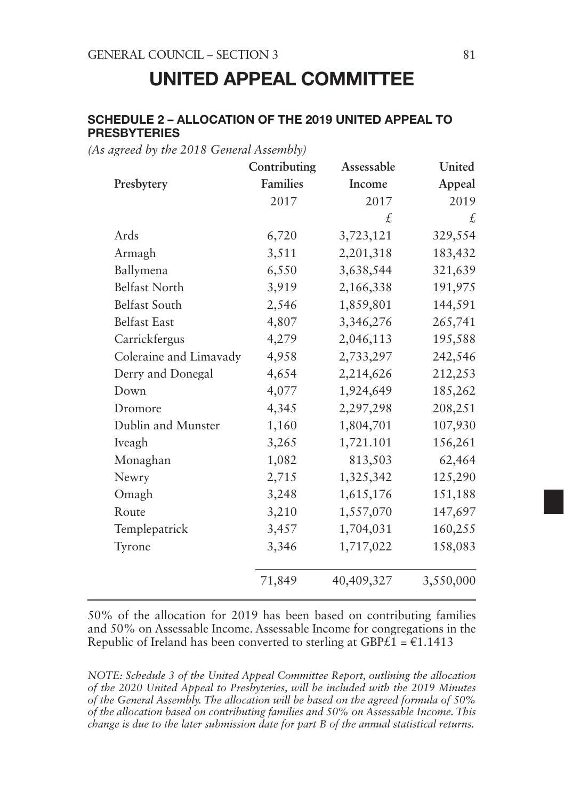# UNITED APPEAL COMMITTEE

#### SCHEDULE 2 – ALLOCATION OF THE 2019 UNITED APPEAL TO PRESBYTERIES

*(As agreed by the 2018 General Assembly)*

|                        | Contributing    | Assessable | United    |
|------------------------|-----------------|------------|-----------|
| Presbytery             | <b>Families</b> | Income     | Appeal    |
|                        | 2017            | 2017       | 2019      |
|                        |                 | £          | £         |
| Ards                   | 6,720           | 3,723,121  | 329,554   |
| Armagh                 | 3,511           | 2,201,318  | 183,432   |
| Ballymena              | 6,550           | 3,638,544  | 321,639   |
| <b>Belfast North</b>   | 3,919           | 2,166,338  | 191,975   |
| Belfast South          | 2,546           | 1,859,801  | 144,591   |
| <b>Belfast East</b>    | 4,807           | 3,346,276  | 265,741   |
| Carrickfergus          | 4,279           | 2,046,113  | 195,588   |
| Coleraine and Limavady | 4,958           | 2,733,297  | 242,546   |
| Derry and Donegal      | 4,654           | 2,214,626  | 212,253   |
| Down                   | 4,077           | 1,924,649  | 185,262   |
| Dromore                | 4,345           | 2,297,298  | 208,251   |
| Dublin and Munster     | 1,160           | 1,804,701  | 107,930   |
| Iveagh                 | 3,265           | 1,721.101  | 156,261   |
| Monaghan               | 1,082           | 813,503    | 62,464    |
| Newry                  | 2,715           | 1,325,342  | 125,290   |
| Omagh                  | 3,248           | 1,615,176  | 151,188   |
| Route                  | 3,210           | 1,557,070  | 147,697   |
| Templepatrick          | 3,457           | 1,704,031  | 160,255   |
| Tyrone                 | 3,346           | 1,717,022  | 158,083   |
|                        | 71,849          | 40,409,327 | 3,550,000 |

50% of the allocation for 2019 has been based on contributing families and 50% on Assessable Income. Assessable Income for congregations in the Republic of Ireland has been converted to sterling at GBP $\tilde{E1} = \epsilon 1.1413$ 

*NOTE: Schedule 3 of the United Appeal Committee Report, outlining the allocation of the 2020 United Appeal to Presbyteries, will be included with the 2019 Minutes of the General Assembly. The allocation will be based on the agreed formula of 50% of the allocation based on contributing families and 50% on Assessable Income. This change is due to the later submission date for part B of the annual statistical returns.*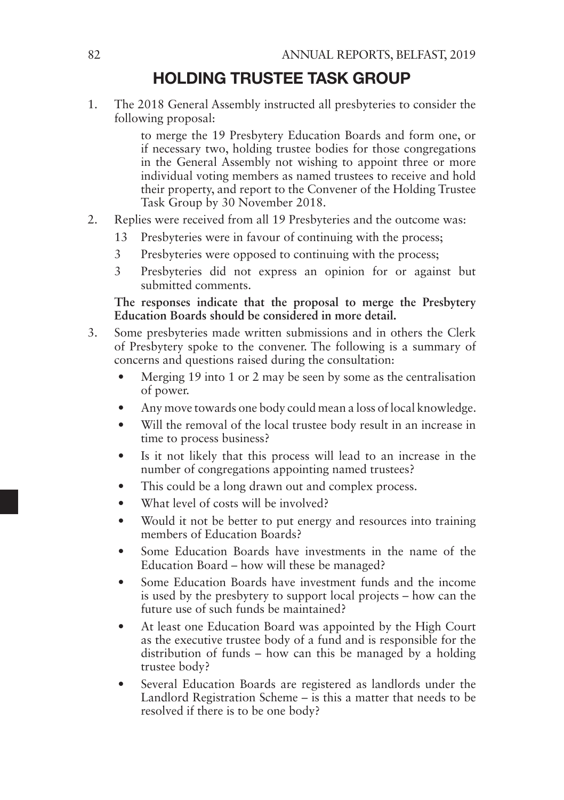# HOLDING TRUSTEE TASK GROUP

1. The 2018 General Assembly instructed all presbyteries to consider the following proposal:

> to merge the 19 Presbytery Education Boards and form one, or if necessary two, holding trustee bodies for those congregations in the General Assembly not wishing to appoint three or more individual voting members as named trustees to receive and hold their property, and report to the Convener of the Holding Trustee Task Group by 30 November 2018.

- 2. Replies were received from all 19 Presbyteries and the outcome was:
	- 13 Presbyteries were in favour of continuing with the process;
	- 3 Presbyteries were opposed to continuing with the process;
	- 3 Presbyteries did not express an opinion for or against but submitted comments.

**The responses indicate that the proposal to merge the Presbytery Education Boards should be considered in more detail.**

- 3. Some presbyteries made written submissions and in others the Clerk of Presbytery spoke to the convener. The following is a summary of concerns and questions raised during the consultation:
	- Merging 19 into 1 or 2 may be seen by some as the centralisation of power.
	- Any move towards one body could mean a loss of local knowledge.
	- Will the removal of the local trustee body result in an increase in time to process business?
	- Is it not likely that this process will lead to an increase in the number of congregations appointing named trustees?
	- This could be a long drawn out and complex process.
	- What level of costs will be involved?
	- Would it not be better to put energy and resources into training members of Education Boards?
	- Some Education Boards have investments in the name of the Education Board – how will these be managed?
	- Some Education Boards have investment funds and the income is used by the presbytery to support local projects – how can the future use of such funds be maintained?
	- At least one Education Board was appointed by the High Court as the executive trustee body of a fund and is responsible for the distribution of funds – how can this be managed by a holding trustee body?
	- Several Education Boards are registered as landlords under the Landlord Registration Scheme – is this a matter that needs to be resolved if there is to be one body?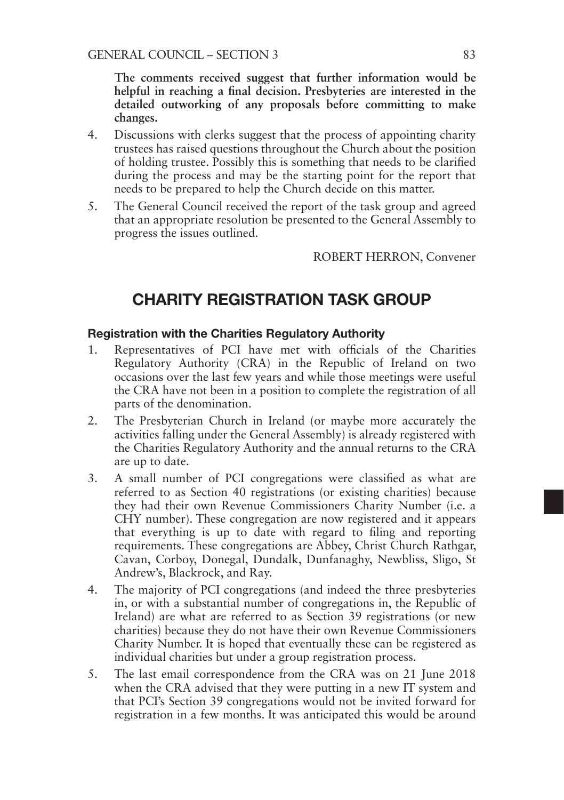**The comments received suggest that further information would be helpful in reaching a final decision. Presbyteries are interested in the detailed outworking of any proposals before committing to make changes.**

- 4. Discussions with clerks suggest that the process of appointing charity trustees has raised questions throughout the Church about the position of holding trustee. Possibly this is something that needs to be clarified during the process and may be the starting point for the report that needs to be prepared to help the Church decide on this matter.
- 5. The General Council received the report of the task group and agreed that an appropriate resolution be presented to the General Assembly to progress the issues outlined.

ROBERT HERRON, Convener

# CHARITY REGISTRATION TASK GROUP

#### Registration with the Charities Regulatory Authority

- 1. Representatives of PCI have met with officials of the Charities Regulatory Authority (CRA) in the Republic of Ireland on two occasions over the last few years and while those meetings were useful the CRA have not been in a position to complete the registration of all parts of the denomination.
- 2. The Presbyterian Church in Ireland (or maybe more accurately the activities falling under the General Assembly) is already registered with the Charities Regulatory Authority and the annual returns to the CRA are up to date.
- 3. A small number of PCI congregations were classified as what are referred to as Section 40 registrations (or existing charities) because they had their own Revenue Commissioners Charity Number (i.e. a CHY number). These congregation are now registered and it appears that everything is up to date with regard to filing and reporting requirements. These congregations are Abbey, Christ Church Rathgar, Cavan, Corboy, Donegal, Dundalk, Dunfanaghy, Newbliss, Sligo, St Andrew's, Blackrock, and Ray.
- 4. The majority of PCI congregations (and indeed the three presbyteries in, or with a substantial number of congregations in, the Republic of Ireland) are what are referred to as Section 39 registrations (or new charities) because they do not have their own Revenue Commissioners Charity Number. It is hoped that eventually these can be registered as individual charities but under a group registration process.
- 5. The last email correspondence from the CRA was on 21 June 2018 when the CRA advised that they were putting in a new IT system and that PCI's Section 39 congregations would not be invited forward for registration in a few months. It was anticipated this would be around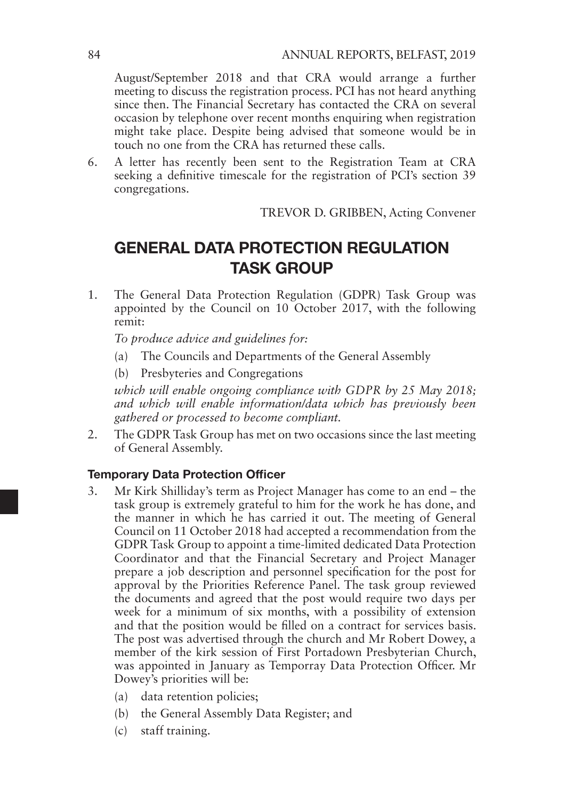August/September 2018 and that CRA would arrange a further meeting to discuss the registration process. PCI has not heard anything since then. The Financial Secretary has contacted the CRA on several occasion by telephone over recent months enquiring when registration might take place. Despite being advised that someone would be in touch no one from the CRA has returned these calls.

6. A letter has recently been sent to the Registration Team at CRA seeking a definitive timescale for the registration of PCI's section 39 congregations.

TREVOR D. GRIBBEN, Acting Convener

# GENERAL DATA PROTECTION REGULATION TASK GROUP

1. The General Data Protection Regulation (GDPR) Task Group was appointed by the Council on 10 October 2017, with the following remit:

*To produce advice and guidelines for:*

- (a) The Councils and Departments of the General Assembly
- (b) Presbyteries and Congregations

*which will enable ongoing compliance with GDPR by 25 May 2018; and which will enable information/data which has previously been gathered or processed to become compliant.*

2. The GDPR Task Group has met on two occasions since the last meeting of General Assembly.

### Temporary Data Protection Officer

- 3. Mr Kirk Shilliday's term as Project Manager has come to an end the task group is extremely grateful to him for the work he has done, and the manner in which he has carried it out. The meeting of General Council on 11 October 2018 had accepted a recommendation from the GDPR Task Group to appoint a time-limited dedicated Data Protection Coordinator and that the Financial Secretary and Project Manager prepare a job description and personnel specification for the post for approval by the Priorities Reference Panel. The task group reviewed the documents and agreed that the post would require two days per week for a minimum of six months, with a possibility of extension and that the position would be filled on a contract for services basis. The post was advertised through the church and Mr Robert Dowey, a member of the kirk session of First Portadown Presbyterian Church, was appointed in January as Temporray Data Protection Officer. Mr Dowey's priorities will be:
	- (a) data retention policies;
	- (b) the General Assembly Data Register; and
	- (c) staff training.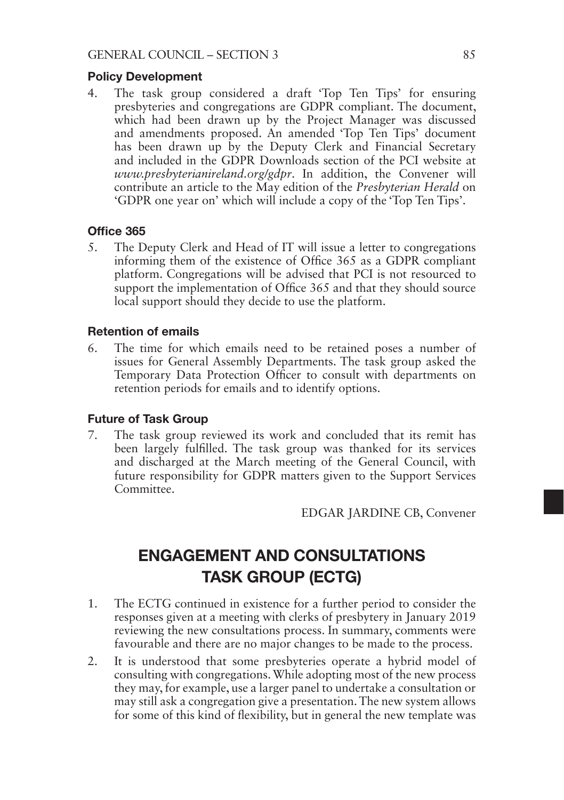#### Policy Development

4. The task group considered a draft 'Top Ten Tips' for ensuring presbyteries and congregations are GDPR compliant. The document, which had been drawn up by the Project Manager was discussed and amendments proposed. An amended 'Top Ten Tips' document has been drawn up by the Deputy Clerk and Financial Secretary and included in the GDPR Downloads section of the PCI website at *www.presbyterianireland.org/gdpr*. In addition, the Convener will contribute an article to the May edition of the *Presbyterian Herald* on 'GDPR one year on' which will include a copy of the 'Top Ten Tips'.

#### Office 365

5. The Deputy Clerk and Head of IT will issue a letter to congregations informing them of the existence of Office 365 as a GDPR compliant platform. Congregations will be advised that PCI is not resourced to support the implementation of Office 365 and that they should source local support should they decide to use the platform.

#### Retention of emails

6. The time for which emails need to be retained poses a number of issues for General Assembly Departments. The task group asked the Temporary Data Protection Officer to consult with departments on retention periods for emails and to identify options.

#### Future of Task Group

7. The task group reviewed its work and concluded that its remit has been largely fulfilled. The task group was thanked for its services and discharged at the March meeting of the General Council, with future responsibility for GDPR matters given to the Support Services Committee.

EDGAR JARDINE CB, Convener

# ENGAGEMENT AND CONSULTATIONS TASK GROUP (ECTG)

- 1. The ECTG continued in existence for a further period to consider the responses given at a meeting with clerks of presbytery in January 2019 reviewing the new consultations process. In summary, comments were favourable and there are no major changes to be made to the process.
- 2. It is understood that some presbyteries operate a hybrid model of consulting with congregations. While adopting most of the new process they may, for example, use a larger panel to undertake a consultation or may still ask a congregation give a presentation. The new system allows for some of this kind of flexibility, but in general the new template was